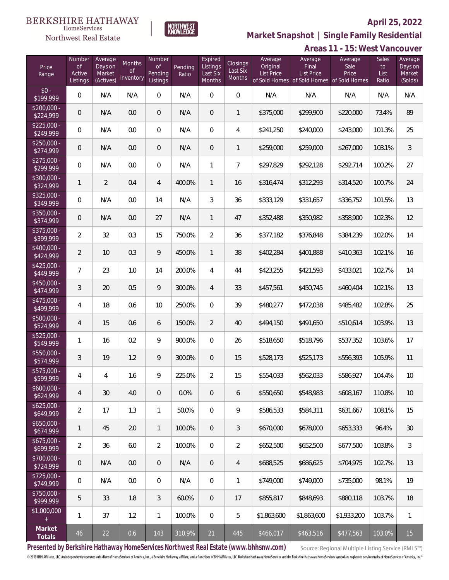

**Market Snapshot | Single Family Residential**

#### **BERKSHIRE HATHAWAY** NORTHWEST<br>KNOWLEDGE  $\label{lem:sevices} \textsc{Home} \textsc{Service} \textsc{s}$ Northwest Real Estate

|                           |                                               |                                           |                                  |                                     |                  |                                           |                                |                                          |                                                                                    | Areas 11 - 15: West Vancouver |                              |                                         |
|---------------------------|-----------------------------------------------|-------------------------------------------|----------------------------------|-------------------------------------|------------------|-------------------------------------------|--------------------------------|------------------------------------------|------------------------------------------------------------------------------------|-------------------------------|------------------------------|-----------------------------------------|
| Price<br>Range            | Number<br>$\mathsf{of}$<br>Active<br>Listings | Average<br>Days on<br>Market<br>(Actives) | Months<br><b>of</b><br>Inventory | Number<br>of<br>Pending<br>Listings | Pending<br>Ratio | Expired<br>Listings<br>Last Six<br>Months | Closings<br>Last Six<br>Months | Average<br>Original<br><b>List Price</b> | Average<br>Final<br><b>List Price</b><br>of Sold Homes of Sold Homes of Sold Homes | Average<br>Sale<br>Price      | Sales<br>to<br>List<br>Ratio | Average<br>Days on<br>Market<br>(Solds) |
| $$0 -$<br>\$199,999       | 0                                             | N/A                                       | N/A                              | $\mathbf 0$                         | N/A              | $\mathbf 0$                               | $\mathbf 0$                    | N/A                                      | N/A                                                                                | N/A                           | N/A                          | N/A                                     |
| $$200,000 -$<br>\$224,999 | 0                                             | N/A                                       | 0.0                              | $\theta$                            | N/A              | $\mathbf 0$                               | 1                              | \$375,000                                | \$299,900                                                                          | \$220,000                     | 73.4%                        | 89                                      |
| $$225,000 -$<br>\$249,999 | 0                                             | N/A                                       | 0.0                              | $\mathbf 0$                         | N/A              | $\mathbf 0$                               | 4                              | \$241,250                                | \$240,000                                                                          | \$243,000                     | 101.3%                       | 25                                      |
| $$250,000 -$<br>\$274,999 | 0                                             | N/A                                       | 0.0                              | $\theta$                            | N/A              | $\mathbf 0$                               | 1                              | \$259,000                                | \$259,000                                                                          | \$267,000                     | 103.1%                       | $\mathfrak{Z}$                          |
| $$275,000 -$<br>\$299,999 | $\boldsymbol{0}$                              | N/A                                       | 0.0                              | $\mathbf 0$                         | N/A              | $\mathbf{1}$                              | $\overline{7}$                 | \$297,829                                | \$292,128                                                                          | \$292,714                     | 100.2%                       | 27                                      |
| $$300,000 -$<br>\$324,999 | $\mathbf{1}$                                  | $\overline{2}$                            | 0.4                              | $\overline{4}$                      | 400.0%           | $\mathbf{1}$                              | 16                             | \$316,474                                | \$312,293                                                                          | \$314,520                     | 100.7%                       | 24                                      |
| $$325,000 -$<br>\$349,999 | $\boldsymbol{0}$                              | N/A                                       | 0.0                              | 14                                  | N/A              | $\mathfrak{Z}$                            | 36                             | \$333,129                                | \$331,657                                                                          | \$336,752                     | 101.5%                       | 13                                      |
| \$350,000 -<br>\$374,999  | $\boldsymbol{0}$                              | N/A                                       | 0.0                              | 27                                  | N/A              | $\mathbf{1}$                              | 47                             | \$352,488                                | \$350,982                                                                          | \$358,900                     | 102.3%                       | 12                                      |
| \$375,000 -<br>\$399,999  | $\overline{2}$                                | 32                                        | 0.3                              | 15                                  | 750.0%           | $\overline{2}$                            | 36                             | \$377,182                                | \$376,848                                                                          | \$384,239                     | 102.0%                       | 14                                      |
| \$400,000 -<br>\$424,999  | $\overline{2}$                                | 10                                        | 0.3                              | 9                                   | 450.0%           | $\mathbf{1}$                              | 38                             | \$402,284                                | \$401,888                                                                          | \$410,363                     | 102.1%                       | 16                                      |
| \$425,000 -<br>\$449,999  | 7                                             | 23                                        | 1.0                              | 14                                  | 200.0%           | $\overline{4}$                            | 44                             | \$423,255                                | \$421,593                                                                          | \$433,021                     | 102.7%                       | 14                                      |
| $$450,000 -$<br>\$474,999 | $\mathfrak{Z}$                                | 20                                        | 0.5                              | 9                                   | 300.0%           | $\overline{4}$                            | 33                             | \$457,561                                | \$450,745                                                                          | \$460,404                     | 102.1%                       | 13                                      |
| $$475,000 -$<br>\$499,999 | 4                                             | 18                                        | 0.6                              | 10                                  | 250.0%           | $\overline{0}$                            | 39                             | \$480,277                                | \$472,038                                                                          | \$485,482                     | 102.8%                       | 25                                      |
| \$500,000 -<br>\$524,999  | $\overline{4}$                                | 15                                        | 0.6                              | 6                                   | 150.0%           | $\overline{2}$                            | 40                             | \$494,150                                | \$491,650                                                                          | \$510,614                     | 103.9%                       | 13                                      |
| \$525,000 -<br>\$549,999  | 1                                             | 16                                        | 0.2                              | 9                                   | 900.0%           | $\mathbf{0}$                              | 26                             | \$518,650                                | \$518,796                                                                          | \$537,352                     | 103.6%                       | 17                                      |
| \$550,000 -<br>\$574,999  | 3                                             | 19                                        | 1.2                              | 9                                   | 300.0%           | $\theta$                                  | 15                             | \$528,173                                | \$525,173                                                                          | \$556,393                     | 105.9%                       | 11                                      |
| \$575,000 -<br>\$599,999  | $\overline{4}$                                | $\overline{4}$                            | 1.6                              | 9                                   | 225.0%           | $\overline{2}$                            | 15                             | \$554,033                                | \$562,033                                                                          | \$586,927                     | 104.4%                       | 10                                      |
| $$600,000 -$<br>\$624,999 | $\overline{4}$                                | 30                                        | 4.0                              | $\overline{0}$                      | $0.0\%$          | $\mathbf 0$                               | 6                              | \$550,650                                | \$548,983                                                                          | \$608,167                     | 110.8%                       | 10                                      |
| $$625,000 -$<br>\$649,999 | $\overline{2}$                                | 17                                        | 1.3                              | $\mathbf{1}$                        | 50.0%            | $\overline{0}$                            | 9                              | \$586,533                                | \$584,311                                                                          | \$631,667                     | 108.1%                       | 15                                      |
| $$650,000 -$<br>\$674,999 | 1                                             | 45                                        | 2.0                              | $\mathbf{1}$                        | 100.0%           | $\mathbf 0$                               | $\mathfrak{Z}$                 | \$670,000                                | \$678,000                                                                          | \$653,333                     | 96.4%                        | 30                                      |
| $$675,000 -$<br>\$699,999 | $\overline{2}$                                | 36                                        | 6.0                              | $\overline{2}$                      | 100.0%           | $\overline{0}$                            | $\overline{2}$                 | \$652,500                                | \$652,500                                                                          | \$677,500                     | 103.8%                       | 3                                       |
| \$700,000 -<br>\$724,999  | 0                                             | N/A                                       | 0.0                              | $\overline{0}$                      | N/A              | $\mathbf{0}$                              | $\overline{4}$                 | \$688,525                                | \$686,625                                                                          | \$704,975                     | 102.7%                       | 13                                      |
| $$725,000 -$<br>\$749,999 | $\boldsymbol{0}$                              | N/A                                       | 0.0                              | $\overline{0}$                      | N/A              | $\mathbf 0$                               | $\mathbf{1}$                   | \$749,000                                | \$749,000                                                                          | \$735,000                     | 98.1%                        | 19                                      |
| \$750,000 -<br>\$999,999  | 5                                             | 33                                        | 1.8                              | $\mathfrak{Z}$                      | 60.0%            | $\mathbf{0}$                              | 17                             | \$855,817                                | \$848,693                                                                          | \$880,118                     | 103.7%                       | 18                                      |
| \$1,000,000<br>$^+$       | 1                                             | 37                                        | 1.2                              | $\mathbf{1}$                        | 100.0%           | $\mathbf 0$                               | 5                              | \$1,863,600                              | \$1,863,600                                                                        | \$1,933,200                   | 103.7%                       | 1                                       |
| Market<br>Totals          | 46                                            | 22                                        | 0.6                              | 143                                 | 310.9%           | 21                                        | 445                            | \$466,017                                | \$463,516                                                                          | \$477,563                     | 103.0%                       | 15                                      |

**Presented by Berkshire Hathaway HomeServices Northwest Real Estate (www.bhhsnw.com)**

Source: Regional Multiple Listing Service (RMLS™)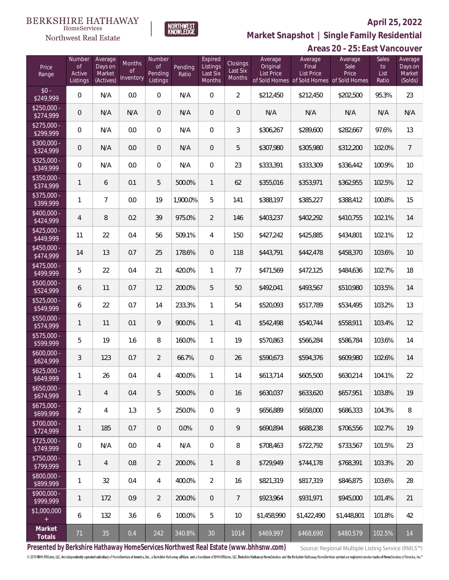

NORTHWEST<br>KNOWLEDGE

Northwest Real Estate

**Market Snapshot | Single Family Residential**

|                                  |                                           |                                           |                                      |                                            |                  |                                           |                                |                                          |                                                                                    | Areas 20 - 25: East Vancouver |                              |                                         |
|----------------------------------|-------------------------------------------|-------------------------------------------|--------------------------------------|--------------------------------------------|------------------|-------------------------------------------|--------------------------------|------------------------------------------|------------------------------------------------------------------------------------|-------------------------------|------------------------------|-----------------------------------------|
| Price<br>Range                   | Number<br><b>of</b><br>Active<br>Listings | Average<br>Days on<br>Market<br>(Actives) | Months<br><sub>of</sub><br>Inventory | Number<br><b>of</b><br>Pending<br>Listings | Pending<br>Ratio | Expired<br>Listings<br>Last Six<br>Months | Closings<br>Last Six<br>Months | Average<br>Original<br><b>List Price</b> | Average<br>Final<br><b>List Price</b><br>of Sold Homes of Sold Homes of Sold Homes | Average<br>Sale<br>Price      | Sales<br>to<br>List<br>Ratio | Average<br>Days on<br>Market<br>(Solds) |
| $$0 -$<br>\$249,999              | $\overline{0}$                            | N/A                                       | 0.0                                  | $\boldsymbol{0}$                           | N/A              | 0                                         | $\overline{2}$                 | \$212,450                                | \$212,450                                                                          | \$202,500                     | 95.3%                        | 23                                      |
| $$250,000 -$<br>\$274,999        | $\overline{0}$                            | N/A                                       | N/A                                  | 0                                          | N/A              | 0                                         | $\mathbf 0$                    | N/A                                      | N/A                                                                                | N/A                           | N/A                          | N/A                                     |
| $$275,000 -$<br>\$299,999        | $\overline{0}$                            | N/A                                       | 0.0                                  | $\mathbf{0}$                               | N/A              | 0                                         | 3                              | \$306,267                                | \$289,600                                                                          | \$282,667                     | 97.6%                        | 13                                      |
| \$300,000 -<br>\$324,999         | $\mathsf{O}\xspace$                       | N/A                                       | 0.0                                  | $\theta$                                   | N/A              | 0                                         | 5                              | \$307,980                                | \$305,980                                                                          | \$312,200                     | 102.0%                       | $\overline{7}$                          |
| \$325,000 -<br>\$349,999         | $\overline{0}$                            | N/A                                       | 0.0                                  | 0                                          | N/A              | 0                                         | 23                             | \$333,391                                | \$333,309                                                                          | \$336,442                     | 100.9%                       | 10                                      |
| \$350,000 -<br>\$374,999         | $\mathbf{1}$                              | 6                                         | 0.1                                  | 5                                          | 500.0%           | $\mathbf{1}$                              | 62                             | \$355,016                                | \$353,971                                                                          | \$362,955                     | 102.5%                       | 12                                      |
| $$375,000 -$<br>\$399,999        | $\mathbf{1}$                              | $\overline{7}$                            | 0.0                                  | 19                                         | 1,900.0%         | 5                                         | 141                            | \$388,197                                | \$385,227                                                                          | \$388,412                     | 100.8%                       | 15                                      |
| $$400,000 -$<br>\$424,999        | 4                                         | 8                                         | 0.2                                  | 39                                         | 975.0%           | $\overline{2}$                            | 146                            | \$403,237                                | \$402,292                                                                          | \$410,755                     | 102.1%                       | 14                                      |
| \$425,000 -<br>\$449,999         | 11                                        | 22                                        | 0.4                                  | 56                                         | 509.1%           | 4                                         | 150                            | \$427,242                                | \$425,885                                                                          | \$434,801                     | 102.1%                       | 12                                      |
| \$450,000 -<br>\$474,999         | 14                                        | 13                                        | 0.7                                  | 25                                         | 178.6%           | 0                                         | 118                            | \$443,791                                | \$442,478                                                                          | \$458,370                     | 103.6%                       | 10                                      |
| \$475,000 -<br>\$499,999         | 5                                         | 22                                        | 0.4                                  | 21                                         | 420.0%           | 1                                         | 77                             | \$471,569                                | \$472,125                                                                          | \$484,636                     | 102.7%                       | 18                                      |
| \$500,000 -<br>\$524,999         | 6                                         | 11                                        | 0.7                                  | 12                                         | 200.0%           | 5                                         | 50                             | \$492,041                                | \$493,567                                                                          | \$510,980                     | 103.5%                       | 14                                      |
| \$525,000 -<br>\$549,999         | 6                                         | 22                                        | 0.7                                  | 14                                         | 233.3%           | 1                                         | 54                             | \$520,093                                | \$517,789                                                                          | \$534,495                     | 103.2%                       | 13                                      |
| $$550,000 -$<br>\$574,999        | 1                                         | 11                                        | 0.1                                  | 9                                          | 900.0%           | $\mathbf{1}$                              | 41                             | \$542,498                                | \$540,744                                                                          | \$558,911                     | 103.4%                       | 12                                      |
| $$575,000 -$<br>\$599,999        | 5                                         | 19                                        | 1.6                                  | 8                                          | 160.0%           | 1                                         | 19                             | \$570,863                                | \$566,284                                                                          | \$586,784                     | 103.6%                       | 14                                      |
| $$600,000 -$<br>\$624,999        | 3                                         | 123                                       | 0.7                                  | $\overline{2}$                             | 66.7%            | $\mathbf 0$                               | 26                             | \$590,673                                | \$594,376                                                                          | \$609,980                     | 102.6%                       | 14                                      |
| \$625,000.<br>\$649,999          | $\mathbf{1}$                              | 26                                        | 0.4                                  | $\overline{4}$                             | 400.0%           | 1                                         | 14                             | \$613,714                                | \$605,500                                                                          | \$630,214                     | 104.1%                       | 22                                      |
| $$650,000 -$<br>\$674,999        | 1                                         | $\overline{4}$                            | 0.4                                  | 5                                          | 500.0%           | $\overline{0}$                            | 16                             | \$630,037                                | \$633,620                                                                          | \$657,951                     | 103.8%                       | 19                                      |
| $$675,000 -$<br>\$699,999        | $\overline{2}$                            | $\overline{4}$                            | 1.3                                  | 5                                          | 250.0%           | 0                                         | 9                              | \$656,889                                | \$658,000                                                                          | \$686,333                     | 104.3%                       | 8                                       |
| $\sqrt{$700,000}$ -<br>\$724,999 | 1                                         | 185                                       | 0.7                                  | $\theta$                                   | 0.0%             | $\overline{0}$                            | 9                              | \$690,894                                | \$688,238                                                                          | \$706,556                     | 102.7%                       | 19                                      |
| $$725,000 -$<br>\$749,999        | $\overline{0}$                            | N/A                                       | 0.0                                  | 4                                          | N/A              | 0                                         | 8                              | \$708,463                                | \$722,792                                                                          | \$733,567                     | 101.5%                       | 23                                      |
| $$750,000 -$<br>\$799,999        | 1                                         | $\overline{4}$                            | 0.8                                  | $\overline{2}$                             | 200.0%           | $\mathbf{1}$                              | 8                              | \$729,949                                | \$744.178                                                                          | \$768,391                     | 103.3%                       | 20                                      |
| $$800,000 -$<br>\$899,999        | 1                                         | 32                                        | 0.4                                  | 4                                          | 400.0%           | $\overline{2}$                            | 16                             | \$821,319                                | \$817,319                                                                          | \$846,875                     | 103.6%                       | 28                                      |
| $$900.000 -$<br>\$999,999        | 1                                         | 172                                       | 0.9                                  | $\overline{2}$                             | 200.0%           | $\overline{0}$                            | $\overline{7}$                 | \$923,964                                | \$931,971                                                                          | \$945,000                     | 101.4%                       | 21                                      |
| \$1,000,000                      | 6                                         | 132                                       | 3.6                                  | 6                                          | 100.0%           | 5                                         | 10                             | \$1,458,990                              | \$1,422,490                                                                        | \$1,448,801                   | 101.8%                       | 42                                      |
| Market<br>Totals                 | 71                                        | 35                                        | 0.4                                  | 242                                        | 340.8%           | 30 <sup>°</sup>                           | 1014                           | \$469,997                                | \$468,690                                                                          | \$480,579                     | 102.5%                       | 14                                      |

**Presented by Berkshire Hathaway HomeServices Northwest Real Estate (www.bhhsnw.com)**

Source: Regional Multiple Listing Service (RMLS™)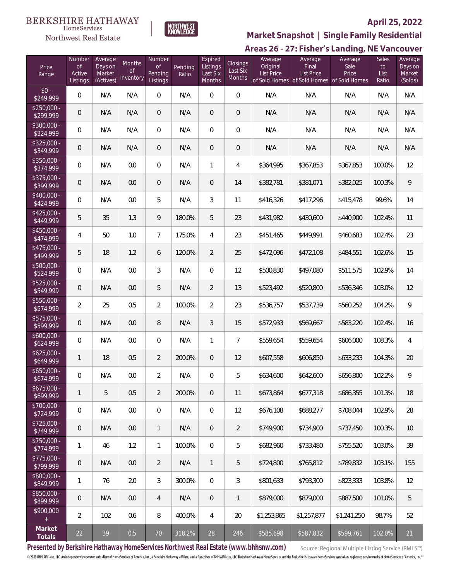#### **BERKSHIRE HATHAWAY** HomeServices





# **April 25, 2022**

**Market Snapshot | Single Family Residential**

| Price<br>Range            | Number<br>$\mathsf{of}$<br>Active<br>Listings | Average<br>Days on<br>Market<br>(Actives) | Months<br><sub>of</sub><br>Inventory | Number<br><b>of</b><br>Pending<br>Listings | Pending<br>Ratio | Expired<br>Listings<br>Last Six<br><b>Months</b> | Closings<br>Last Six<br>Months | Average<br>Original<br><b>List Price</b> | Average<br>Final<br><b>List Price</b><br>of Sold Homes of Sold Homes of Sold Homes | Average<br>Sale<br>Price | <b>Sales</b><br>to<br>List<br>Ratio | Average<br>Days on<br>Market<br>(Solds) |
|---------------------------|-----------------------------------------------|-------------------------------------------|--------------------------------------|--------------------------------------------|------------------|--------------------------------------------------|--------------------------------|------------------------------------------|------------------------------------------------------------------------------------|--------------------------|-------------------------------------|-----------------------------------------|
| $$0 -$<br>\$249,999       | $\mathbf{0}$                                  | N/A                                       | N/A                                  | $\overline{0}$                             | N/A              | $\overline{0}$                                   | $\overline{0}$                 | N/A                                      | N/A                                                                                | N/A                      | N/A                                 | N/A                                     |
| $$250.000 -$<br>\$299,999 | $\mathbf 0$                                   | N/A                                       | N/A                                  | $\overline{0}$                             | N/A              | $\overline{0}$                                   | $\overline{0}$                 | N/A                                      | N/A                                                                                | N/A                      | N/A                                 | N/A                                     |
| $$300,000 -$<br>\$324,999 | 0                                             | N/A                                       | N/A                                  | $\mathbf{0}$                               | N/A              | $\overline{0}$                                   | 0                              | N/A                                      | N/A                                                                                | N/A                      | N/A                                 | N/A                                     |
| $$325,000 -$<br>\$349,999 | $\mathbf 0$                                   | N/A                                       | N/A                                  | $\overline{0}$                             | N/A              | $\overline{0}$                                   | $\overline{0}$                 | N/A                                      | N/A                                                                                | N/A                      | N/A                                 | N/A                                     |
| \$350,000 -<br>\$374,999  | 0                                             | N/A                                       | 0.0                                  | $\mathbf{0}$                               | N/A              | 1                                                | 4                              | \$364,995                                | \$367,853                                                                          | \$367,853                | 100.0%                              | 12                                      |
| $$375,000 -$<br>\$399,999 | $\mathbf 0$                                   | N/A                                       | 0.0                                  | $\overline{0}$                             | N/A              | $\overline{0}$                                   | 14                             | \$382,781                                | \$381,071                                                                          | \$382,025                | 100.3%                              | 9                                       |
| \$400,000 -<br>\$424,999  | 0                                             | N/A                                       | 0.0                                  | 5                                          | N/A              | 3                                                | 11                             | \$416,326                                | \$417,296                                                                          | \$415,478                | 99.6%                               | 14                                      |
| $$425,000 -$<br>\$449,999 | 5                                             | 35                                        | 1.3                                  | 9                                          | 180.0%           | 5                                                | 23                             | \$431,982                                | \$430,600                                                                          | \$440,900                | 102.4%                              | 11                                      |
| \$450,000 -<br>\$474,999  | 4                                             | 50                                        | 1.0                                  | $\overline{7}$                             | 175.0%           | 4                                                | 23                             | \$451,465                                | \$449,991                                                                          | \$460,683                | 102.4%                              | 23                                      |
| \$475,000 -<br>\$499,999  | 5                                             | 18                                        | 1.2                                  | 6                                          | 120.0%           | $\overline{2}$                                   | 25                             | \$472,096                                | \$472,108                                                                          | \$484,551                | 102.6%                              | 15                                      |
| \$500,000 -<br>\$524,999  | 0                                             | N/A                                       | 0.0                                  | 3                                          | N/A              | $\mathbf{0}$                                     | 12                             | \$500,830                                | \$497,080                                                                          | \$511,575                | 102.9%                              | 14                                      |
| \$525,000 -<br>\$549,999  | $\mathbf 0$                                   | N/A                                       | 0.0                                  | 5                                          | N/A              | $\overline{2}$                                   | 13                             | \$523,492                                | \$520,800                                                                          | \$536,346                | 103.0%                              | 12                                      |
| \$550,000 -<br>\$574,999  | $\overline{2}$                                | 25                                        | 0.5                                  | $\overline{2}$                             | 100.0%           | $\overline{2}$                                   | 23                             | \$536,757                                | \$537,739                                                                          | \$560,252                | 104.2%                              | 9                                       |
| $$575,000 -$<br>\$599,999 | $\mathbf 0$                                   | N/A                                       | 0.0                                  | 8                                          | N/A              | 3                                                | 15                             | \$572,933                                | \$569,667                                                                          | \$583,220                | 102.4%                              | 16                                      |
| $$600,000 -$<br>\$624,999 | $\boldsymbol{0}$                              | N/A                                       | 0.0                                  | $\overline{0}$                             | N/A              | 1                                                | $\overline{7}$                 | \$559,654                                | \$559,654                                                                          | \$606,000                | 108.3%                              | 4                                       |
| $$625,000 -$<br>\$649,999 | 1                                             | 18                                        | 0.5                                  | 2                                          | 200.0%           | $\overline{0}$                                   | 12                             | \$607,558                                | \$606,850                                                                          | \$633,233                | 104.3%                              | 20                                      |
| $$650,000 -$<br>\$674,999 | 0                                             | N/A                                       | 0.0                                  | $\overline{2}$                             | N/A              | 0                                                | 5                              | \$634,600                                | \$642,600                                                                          | \$656,800                | 102.2%                              | 9                                       |
| $$675,000 -$<br>\$699,999 | $\mathbf{1}$                                  | 5                                         | 0.5                                  | 2                                          | 200.0%           | $\overline{0}$                                   | 11                             | \$673,864                                | \$677,318                                                                          | \$686.355                | 101.3%                              | 18                                      |
| $$700,000 -$<br>\$724,999 | 0                                             | N/A                                       | 0.0                                  | $\overline{0}$                             | N/A              | $\overline{0}$                                   | 12                             | \$676,108                                | \$688,277                                                                          | \$708,044                | 102.9%                              | 28                                      |
| $$725,000 -$<br>\$749,999 | $\mathbf 0$                                   | N/A                                       | 0.0                                  | $\mathbf{1}$                               | N/A              | $\overline{0}$                                   | $\overline{2}$                 | \$749,900                                | \$734,900                                                                          | \$737,450                | 100.3%                              | 10                                      |
| $$750,000 -$<br>\$774,999 | 1                                             | 46                                        | 1.2                                  | $\mathbf{1}$                               | 100.0%           | $\overline{0}$                                   | 5                              | \$682,960                                | \$733,480                                                                          | \$755,520                | 103.0%                              | 39                                      |
| $$775,000 -$<br>\$799,999 | $\mathbf 0$                                   | N/A                                       | 0.0                                  | $\overline{2}$                             | N/A              | $\mathbf{1}$                                     | 5                              | \$724,800                                | \$765,812                                                                          | \$789,832                | 103.1%                              | 155                                     |
| \$800,000 -<br>\$849,999  | 1                                             | 76                                        | 2.0                                  | 3                                          | 300.0%           | $\overline{0}$                                   | 3                              | \$801,633                                | \$793,300                                                                          | \$823,333                | 103.8%                              | 12                                      |
| $$850,000 -$<br>\$899,999 | $\mathbf 0$                                   | N/A                                       | 0.0                                  | 4                                          | N/A              | $\overline{0}$                                   | 1                              | \$879,000                                | \$879,000                                                                          | \$887,500                | 101.0%                              | 5                                       |
| \$900,000                 | $\overline{2}$                                | 102                                       | 0.6                                  | 8                                          | 400.0%           | 4                                                | 20                             | \$1,253,865                              | \$1,257,877                                                                        | \$1,241,250              | 98.7%                               | 52                                      |
| Market<br>Totals          | 22                                            | 39                                        | 0.5                                  | $70$                                       | 318.2%           | 28                                               | 246                            | \$585,698                                | \$587,832                                                                          | \$599,761                | 102.0%                              | 21                                      |

**Presented by Berkshire Hathaway HomeServices Northwest Real Estate (www.bhhsnw.com)**

Source: Regional Multiple Listing Service (RMLS™)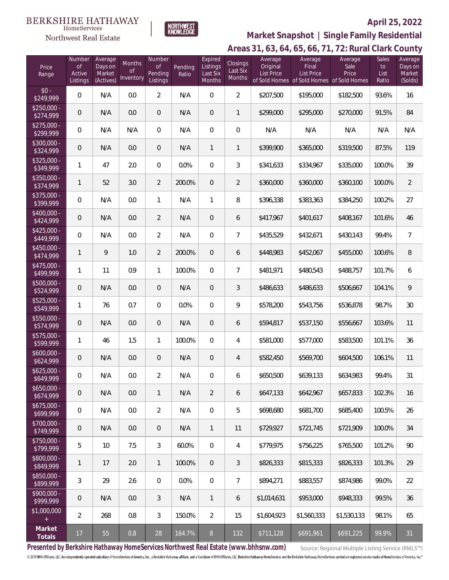#### **BERKSHIRE HATHAWAY**  $\label{lem:sevices} \textsc{Home} \textsc{Service} \textsc{s}$

Northwest Real Estate



# **April 25, 2022**

**Areas 31, 63, 64, 65, 66, 71, 72: Rural Clark County Market Snapshot | Single Family Residential**

| Price<br>Range            | Number<br><b>of</b><br>Active<br>Listings | Average<br>Days on<br>Market<br>(Actives) | Months<br>0f<br>Inventory | Number<br><b>of</b><br>Pending<br>Listings | Pending<br>Ratio | Expired<br>Listings<br>Last Six<br>Months | <b>Closings</b><br>Last Six<br>Months | Average<br>Original<br><b>List Price</b> | Average<br>Final<br><b>List Price</b><br>of Sold Homes of Sold Homes of Sold Homes | Average<br>Sale<br>Price | Sales<br>to<br>List<br>Ratio | Average<br>Days on<br>Market<br>(Solds) |
|---------------------------|-------------------------------------------|-------------------------------------------|---------------------------|--------------------------------------------|------------------|-------------------------------------------|---------------------------------------|------------------------------------------|------------------------------------------------------------------------------------|--------------------------|------------------------------|-----------------------------------------|
| $$0 -$<br>\$249,999       | $\boldsymbol{0}$                          | N/A                                       | 0.0                       | $\overline{2}$                             | N/A              | $\boldsymbol{0}$                          | $\overline{2}$                        | \$207,500                                | \$195,000                                                                          | \$182,500                | 93.6%                        | 16                                      |
| $$250,000 -$<br>\$274,999 | $\mathbf 0$                               | N/A                                       | 0.0                       | 0                                          | N/A              | $\boldsymbol{0}$                          | 1                                     | \$299,000                                | \$295,000                                                                          | \$270,000                | 91.5%                        | 84                                      |
| $$275,000 -$<br>\$299,999 | 0                                         | N/A                                       | N/A                       | $\overline{0}$                             | N/A              | $\boldsymbol{0}$                          | $\mathbf 0$                           | N/A                                      | N/A                                                                                | N/A                      | N/A                          | N/A                                     |
| \$300,000 -<br>\$324,999  | $\mathbf 0$                               | N/A                                       | 0.0                       | 0                                          | N/A              | $\mathbf{1}$                              | 1                                     | \$399,900                                | \$365,000                                                                          | \$319,500                | 87.5%                        | 119                                     |
| \$325,000 -<br>\$349,999  | 1                                         | 47                                        | 2.0                       | $\overline{0}$                             | 0.0%             | $\boldsymbol{0}$                          | 3                                     | \$341,633                                | \$334,967                                                                          | \$335,000                | 100.0%                       | 39                                      |
| \$350,000 -<br>\$374,999  | $\mathbf{1}$                              | 52                                        | 3.0                       | $\overline{2}$                             | 200.0%           | $\boldsymbol{0}$                          | $\overline{2}$                        | \$360,000                                | \$360,000                                                                          | \$360,100                | 100.0%                       | $\overline{2}$                          |
| $$375,000 -$<br>\$399,999 | 0                                         | N/A                                       | 0.0                       | $\mathbf{1}$                               | N/A              | 1                                         | 8                                     | \$396,338                                | \$383,363                                                                          | \$384,250                | 100.2%                       | 27                                      |
| \$400,000 -<br>\$424,999  | $\mathbf 0$                               | N/A                                       | 0.0                       | $\overline{2}$                             | N/A              | $\boldsymbol{0}$                          | 6                                     | \$417,967                                | \$401,617                                                                          | \$408,167                | 101.6%                       | 46                                      |
| $$425,000 -$<br>\$449,999 | 0                                         | N/A                                       | 0.0                       | $\overline{2}$                             | N/A              | $\boldsymbol{0}$                          | $\overline{7}$                        | \$435,529                                | \$432,671                                                                          | \$430,143                | 99.4%                        | $\overline{7}$                          |
| \$450,000 -<br>\$474,999  | $\mathbf{1}$                              | 9                                         | 1.0                       | $\overline{2}$                             | 200.0%           | $\boldsymbol{0}$                          | 6                                     | \$448,983                                | \$452,067                                                                          | \$455,000                | 100.6%                       | 8                                       |
| \$475,000 -<br>\$499,999  | 1                                         | 11                                        | 0.9                       | $\mathbf{1}$                               | 100.0%           | $\boldsymbol{0}$                          | $\overline{7}$                        | \$481,971                                | \$480,543                                                                          | \$488,757                | 101.7%                       | 6                                       |
| \$500,000 -<br>\$524,999  | $\mathbf 0$                               | N/A                                       | 0.0                       | 0                                          | N/A              | $\overline{0}$                            | 3                                     | \$486,633                                | \$486,633                                                                          | \$506,667                | 104.1%                       | 9                                       |
| $$525,000 -$<br>\$549,999 | 1                                         | 76                                        | 0.7                       | $\mathbf 0$                                | 0.0%             | $\boldsymbol{0}$                          | 9                                     | \$578,200                                | \$543,756                                                                          | \$536,878                | 98.7%                        | 30                                      |
| $$550,000 -$<br>\$574,999 | $\mathbf 0$                               | N/A                                       | 0.0                       | 0                                          | N/A              | $\overline{0}$                            | 6                                     | \$594,817                                | \$537,150                                                                          | \$556,667                | 103.6%                       | 11                                      |
| $$575,000 -$<br>\$599,999 | 1                                         | 46                                        | 1.5                       | $\mathbf{1}$                               | 100.0%           | $\boldsymbol{0}$                          | 4                                     | \$581,000                                | \$577,000                                                                          | \$583,500                | 101.1%                       | 36                                      |
| $$600,000 -$<br>\$624,999 | $\mathbf 0$                               | N/A                                       | 0.0                       | 0                                          | N/A              | $\overline{0}$                            | 4                                     | \$582,450                                | \$569,700                                                                          | \$604,500                | 106.1%                       | 11                                      |
| $$625,000 -$<br>\$649,999 | 0                                         | N/A                                       | 0.0                       | $\overline{2}$                             | N/A              | 0                                         | 6                                     | \$650,500                                | \$639,133                                                                          | \$634,983                | 99.4%                        | 31                                      |
| $$650,000 -$<br>\$674,999 | $\mathbf 0$                               | N/A                                       | 0.0                       | $\mathbf{1}$                               | N/A              | $\overline{2}$                            | 6                                     | \$647,133                                | \$642,967                                                                          | \$657,833                | 102.3%                       | 16                                      |
| $$675,000 -$<br>\$699,999 | 0                                         | N/A                                       | 0.0                       | $\overline{2}$                             | N/A              | $\overline{0}$                            | 5                                     | \$698,680                                | \$681,700                                                                          | \$685,400                | 100.5%                       | 26                                      |
| $$700,000 -$<br>\$749,999 | $\mathbf 0$                               | N/A                                       | 0.0                       | $\overline{0}$                             | N/A              | $\mathbf{1}$                              | 11                                    | \$729,927                                | \$721,745                                                                          | \$721,909                | 100.0%                       | 34                                      |
| $$750.000 -$<br>\$799,999 | 5                                         | 10                                        | 7.5                       | 3                                          | 60.0%            | $\overline{0}$                            | 4                                     | \$779,975                                | \$756,225                                                                          | \$765,500                | 101.2%                       | 90                                      |
| \$800,000 -<br>\$849,999  | 1                                         | 17                                        | 2.0                       | $\mathbf{1}$                               | 100.0%           | $\overline{0}$                            | $\mathfrak{Z}$                        | \$826,333                                | \$815,333                                                                          | \$826,333                | 101.3%                       | 29                                      |
| \$850,000 -<br>\$899,999  | 3                                         | 29                                        | 2.6                       | $\overline{0}$                             | 0.0%             | $\overline{0}$                            | $\overline{7}$                        | \$894,271                                | \$883,557                                                                          | \$874,986                | 99.0%                        | 22                                      |
| $$900.000 -$<br>\$999,999 | $\mathbf 0$                               | N/A                                       | 0.0                       | 3                                          | N/A              | $\mathbf{1}$                              | 6                                     | \$1,014,631                              | \$953,000                                                                          | \$948,333                | 99.5%                        | 36                                      |
| \$1,000,000<br>$+$        | $\overline{2}$                            | 268                                       | 0.8                       | 3                                          | 150.0%           | $\overline{2}$                            | 15                                    | \$1,604,923                              | \$1,560,333                                                                        | \$1,530,133              | 98.1%                        | 65                                      |
| Market<br>Totals          | 17                                        | 55                                        | $0.8\,$                   | 28                                         | 164.7%           | $8\,$                                     | 132                                   | \$711,128                                | \$691,961                                                                          | \$691,225                | 99.9%                        | 31                                      |

**Presented by Berkshire Hathaway HomeServices Northwest Real Estate (www.bhhsnw.com)**

Source: Regional Multiple Listing Service (RMLS™)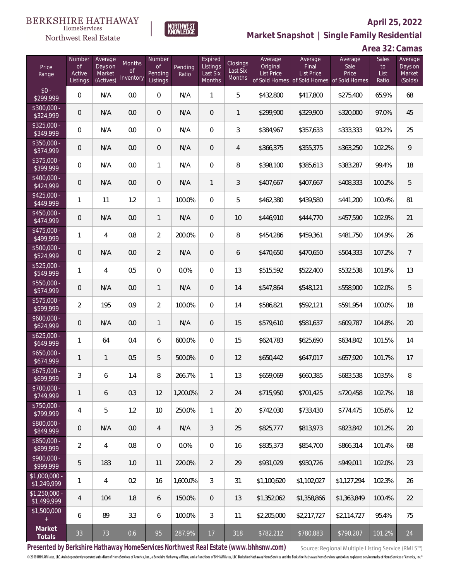#### **BERKSHIRE HATHAWAY** HomeServices



# **April 25, 2022 Market Snapshot | Single Family Residential**



| Price<br>Range                   | Number<br>of<br>Active<br>Listings | Average<br>Days on<br>Market<br>(Actives) | Months<br><b>of</b><br>Inventory | Number<br>Οf<br>Pending<br>Listings | Pending<br>Ratio | Expired<br>Listings<br>Last Six<br><b>Months</b> | Closings<br>Last Six<br>Months | Average<br>Original<br><b>List Price</b> | Average<br>Final<br><b>List Price</b><br>of Sold Homes of Sold Homes of Sold Homes | Average<br>Sale<br>Price | Sales<br>to<br>List<br>Ratio | Average<br>Days on<br>Market<br>(Solds) |
|----------------------------------|------------------------------------|-------------------------------------------|----------------------------------|-------------------------------------|------------------|--------------------------------------------------|--------------------------------|------------------------------------------|------------------------------------------------------------------------------------|--------------------------|------------------------------|-----------------------------------------|
| $$0 -$<br>$\sqrt{$299,999}$      | 0                                  | N/A                                       | 0.0                              | $\overline{0}$                      | N/A              | 1                                                | 5                              | \$432,800                                | \$417,800                                                                          | \$275,400                | 65.9%                        | 68                                      |
| \$300,000 -<br>\$324,999         | 0                                  | N/A                                       | 0.0                              | $\overline{0}$                      | N/A              | $\overline{0}$                                   | $\mathbf{1}$                   | \$299,900                                | \$329,900                                                                          | \$320,000                | 97.0%                        | 45                                      |
| $$325,000 -$<br>\$349,999        | 0                                  | N/A                                       | 0.0                              | $\overline{0}$                      | N/A              | $\overline{0}$                                   | 3                              | \$384,967                                | \$357,633                                                                          | \$333,333                | 93.2%                        | 25                                      |
| $$350,000 -$<br>\$374,999        | 0                                  | N/A                                       | 0.0                              | $\mathbf 0$                         | N/A              | $\overline{0}$                                   | $\overline{4}$                 | \$366,375                                | \$355,375                                                                          | \$363,250                | 102.2%                       | 9                                       |
| \$375,000 -<br>\$399,999         | 0                                  | N/A                                       | 0.0                              | $\mathbf{1}$                        | N/A              | $\overline{0}$                                   | 8                              | \$398,100                                | \$385,613                                                                          | \$383,287                | 99.4%                        | 18                                      |
| $$400,000 -$<br>\$424,999        | 0                                  | N/A                                       | 0.0                              | $\mathbf 0$                         | N/A              | $\mathbf{1}$                                     | 3                              | \$407,667                                | \$407,667                                                                          | \$408,333                | 100.2%                       | 5                                       |
| $$425,000 -$<br>\$449,999        | 1                                  | 11                                        | 1.2                              | $\mathbf{1}$                        | 100.0%           | $\overline{0}$                                   | 5                              | \$462,380                                | \$439,580                                                                          | \$441,200                | 100.4%                       | 81                                      |
| $$450,000 -$<br>$\sqrt{474.999}$ | 0                                  | N/A                                       | 0.0                              | $\mathbf{1}$                        | N/A              | $\overline{0}$                                   | 10                             | \$446,910                                | \$444,770                                                                          | \$457,590                | 102.9%                       | 21                                      |
| $$475,000 -$<br>\$499,999        | 1                                  | $\overline{4}$                            | 0.8                              | $\overline{2}$                      | 200.0%           | $\overline{0}$                                   | 8                              | \$454,286                                | \$459,361                                                                          | \$481,750                | 104.9%                       | 26                                      |
| \$500,000 -<br>\$524,999         | 0                                  | N/A                                       | 0.0                              | $\overline{2}$                      | N/A              | $\overline{0}$                                   | 6                              | \$470,650                                | \$470,650                                                                          | \$504,333                | 107.2%                       | $\overline{7}$                          |
| \$525,000 -<br>\$549,999         | 1                                  | $\overline{4}$                            | 0.5                              | $\overline{0}$                      | 0.0%             | $\overline{0}$                                   | 13                             | \$515,592                                | \$522,400                                                                          | \$532,538                | 101.9%                       | 13                                      |
| \$550,000 -<br>\$574,999         | 0                                  | N/A                                       | 0.0                              | $\mathbf{1}$                        | N/A              | $\overline{0}$                                   | 14                             | \$547,864                                | \$548,121                                                                          | \$558,900                | 102.0%                       | 5                                       |
| \$575,000 -<br>\$599,999         | $\overline{2}$                     | 195                                       | 0.9                              | $\overline{2}$                      | 100.0%           | $\overline{0}$                                   | 14                             | \$586,821                                | \$592,121                                                                          | \$591,954                | 100.0%                       | 18                                      |
| $$600,000 -$<br>\$624,999        | 0                                  | N/A                                       | 0.0                              | $\mathbf{1}$                        | N/A              | $\overline{0}$                                   | 15                             | \$579,610                                | \$581,637                                                                          | \$609,787                | 104.8%                       | 20                                      |
| $$625,000 -$<br>\$649,999        | 1                                  | 64                                        | 0.4                              | 6                                   | 600.0%           | $\overline{0}$                                   | 15                             | \$624,783                                | \$625,690                                                                          | \$634,842                | 101.5%                       | 14                                      |
| $$650,000 -$<br>\$674,999        | 1                                  | 1                                         | 0.5                              | 5                                   | 500.0%           | $\overline{0}$                                   | 12                             | \$650,442                                | \$647,017                                                                          | \$657,920                | 101.7%                       | 17                                      |
| \$675,000 -<br>\$699,999         | 3                                  | 6                                         | 1.4                              | 8                                   | 266.7%           | $\mathbf{1}$                                     | 13                             | \$659,069                                | \$660,385                                                                          | \$683,538                | 103.5%                       | 8                                       |
| $$700,000 -$<br>\$749,999        | 1                                  | 6                                         | 0.3                              | 12                                  | 1,200.0%         | $\overline{2}$                                   | 24                             | \$715,950                                | \$701,425                                                                          | \$720,458                | 102.7%                       | 18                                      |
| $$750,000 -$<br>\$799,999        | 4                                  | 5                                         | 1.2                              | 10                                  | 250.0%           | $\mathbf{1}$                                     | 20                             | \$742,030                                | \$733,430                                                                          | \$774,475                | 105.6%                       | 12                                      |
| \$800,000 -<br>\$849,999         | 0                                  | N/A                                       | 0.0                              | $\overline{4}$                      | N/A              | 3                                                | 25                             | \$825,777                                | \$813,973                                                                          | \$823,842                | 101.2%                       | 20                                      |
| \$850,000 -<br>\$899,999         | $\overline{2}$                     | $\overline{4}$                            | 0.8                              | $\mathbf{0}$                        | 0.0%             | $\overline{0}$                                   | 16                             | \$835,373                                | \$854,700                                                                          | \$866,314                | 101.4%                       | 68                                      |
| $$900,000 -$<br>\$999,999        | 5                                  | 183                                       | 1.0                              | 11                                  | 220.0%           | $\overline{2}$                                   | 29                             | \$931,029                                | \$930,726                                                                          | \$949,011                | 102.0%                       | 23                                      |
| \$1,000,000 -<br>\$1,249,999     | 1                                  | $\overline{4}$                            | 0.2                              | 16                                  | 1.600.0%         | 3                                                | 31                             | \$1,100,620                              | \$1,102,027                                                                        | \$1,127,294              | 102.3%                       | 26                                      |
| $$1,250,000 -$<br>\$1,499,999    | 4                                  | 104                                       | 1.8                              | 6                                   | 150.0%           | $\overline{0}$                                   | 13                             | \$1,352,062                              | \$1,358,866                                                                        | \$1,363,849              | 100.4%                       | 22                                      |
| \$1,500,000                      | 6                                  | 89                                        | 3.3                              | 6                                   | 100.0%           | 3                                                | 11                             | \$2,205,000                              | \$2,217,727                                                                        | \$2,114,727              | 95.4%                        | 75                                      |
| Market<br>Totals                 | 33                                 | 73                                        | 0.6                              | 95                                  | 287.9%           | 17                                               | 318                            | \$782,212                                | \$780,883                                                                          | \$790,207                | 101.2%                       | 24                                      |

NORTHWEST<br>KNOWLEDGE

**Presented by Berkshire Hathaway HomeServices Northwest Real Estate (www.bhhsnw.com)**

Source: Regional Multiple Listing Service (RMLS™)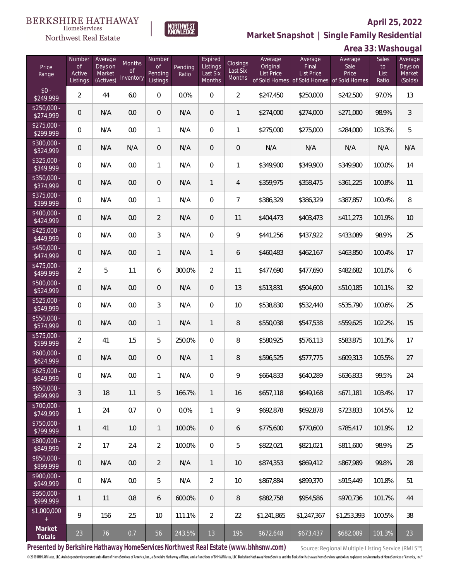

 $\label{lem:sevices} \textsc{Home} \textsc{Service} \textsc{s}$ 

**Market Snapshot | Single Family Residential**

# **Area 33: Washougal**

| Price<br>Range              | Number<br>of<br>Active<br>Listings | Average<br>Days on<br>Market<br>(Actives) | Months<br>0f<br>Inventory | Number<br>0f<br>Pending<br>Listings | Pending<br>Ratio | Expired<br>Listings<br>Last Six<br><b>Months</b> | Closings<br>Last Six<br>Months | Average<br>Original<br><b>List Price</b> | Average<br>Final<br><b>List Price</b><br>of Sold Homes of Sold Homes of Sold Homes | Average<br>Sale<br>Price | <b>Sales</b><br>to<br>List<br>Ratio | Average<br>Days on<br>Market<br>(Solds) |
|-----------------------------|------------------------------------|-------------------------------------------|---------------------------|-------------------------------------|------------------|--------------------------------------------------|--------------------------------|------------------------------------------|------------------------------------------------------------------------------------|--------------------------|-------------------------------------|-----------------------------------------|
| $$0 -$<br>$\sqrt{$249,999}$ | $\overline{2}$                     | 44                                        | 6.0                       | $\overline{0}$                      | 0.0%             | $\overline{0}$                                   | $\overline{a}$                 | \$247,450                                | \$250,000                                                                          | \$242,500                | 97.0%                               | 13                                      |
| $$250.000 -$<br>\$274,999   | $\overline{0}$                     | N/A                                       | 0.0                       | $\theta$                            | N/A              | $\overline{0}$                                   | 1                              | \$274,000                                | \$274,000                                                                          | \$271,000                | 98.9%                               | $\mathfrak{Z}$                          |
| $$275.000 -$<br>\$299,999   | $\overline{0}$                     | N/A                                       | 0.0                       | $\mathbf{1}$                        | N/A              | $\mathbf{0}$                                     | 1                              | \$275,000                                | \$275,000                                                                          | \$284,000                | 103.3%                              | 5                                       |
| $$300.000 -$<br>\$324,999   | $\overline{0}$                     | N/A                                       | N/A                       | $\overline{0}$                      | N/A              | $\overline{0}$                                   | $\theta$                       | N/A                                      | N/A                                                                                | N/A                      | N/A                                 | N/A                                     |
| $$325,000 -$<br>\$349,999   | $\overline{0}$                     | N/A                                       | 0.0                       | $\mathbf{1}$                        | N/A              | $\boldsymbol{0}$                                 | 1                              | \$349,900                                | \$349,900                                                                          | \$349,900                | 100.0%                              | 14                                      |
| $$350,000 -$<br>\$374,999   | $\overline{0}$                     | N/A                                       | 0.0                       | $\boldsymbol{0}$                    | N/A              | $\mathbf{1}$                                     | 4                              | \$359,975                                | \$358,475                                                                          | \$361,225                | 100.8%                              | 11                                      |
| $$375,000 -$<br>\$399,999   | 0                                  | N/A                                       | 0.0                       | $\mathbf{1}$                        | N/A              | $\boldsymbol{0}$                                 | $\overline{7}$                 | \$386,329                                | \$386,329                                                                          | \$387,857                | 100.4%                              | 8                                       |
| $$400,000 -$<br>\$424,999   | $\overline{0}$                     | N/A                                       | 0.0                       | $\overline{2}$                      | N/A              | $\overline{0}$                                   | 11                             | \$404,473                                | \$403,473                                                                          | \$411,273                | 101.9%                              | 10                                      |
| $$425,000 -$<br>\$449,999   | $\overline{0}$                     | N/A                                       | 0.0                       | 3                                   | N/A              | $\boldsymbol{0}$                                 | 9                              | \$441,256                                | \$437,922                                                                          | \$433,089                | 98.9%                               | 25                                      |
| $$450,000 -$<br>\$474,999   | $\overline{0}$                     | N/A                                       | 0.0                       | $\mathbf{1}$                        | N/A              | $\mathbf{1}$                                     | 6                              | \$460,483                                | \$462,167                                                                          | \$463,850                | 100.4%                              | 17                                      |
| $$475,000 -$<br>\$499,999   | $\overline{2}$                     | 5                                         | 1.1                       | 6                                   | 300.0%           | $\overline{2}$                                   | 11                             | \$477,690                                | \$477,690                                                                          | \$482,682                | 101.0%                              | 6                                       |
| \$500,000 -<br>\$524,999    | $\overline{0}$                     | N/A                                       | 0.0                       | $\overline{0}$                      | N/A              | $\overline{0}$                                   | 13                             | \$513,831                                | \$504,600                                                                          | \$510,185                | 101.1%                              | 32                                      |
| $$525,000 -$<br>\$549,999   | 0                                  | N/A                                       | 0.0                       | 3                                   | N/A              | $\boldsymbol{0}$                                 | 10                             | \$538,830                                | \$532,440                                                                          | \$535,790                | 100.6%                              | 25                                      |
| $$550,000 -$<br>\$574,999   | 0                                  | N/A                                       | 0.0                       | $\mathbf{1}$                        | N/A              | $\mathbf{1}$                                     | 8                              | \$550,038                                | \$547,538                                                                          | \$559,625                | 102.2%                              | 15                                      |
| \$575,000 -<br>\$599,999    | $\overline{2}$                     | 41                                        | 1.5                       | 5                                   | 250.0%           | $\boldsymbol{0}$                                 | 8                              | \$580,925                                | \$576,113                                                                          | \$583,875                | 101.3%                              | 17                                      |
| $$600,000 -$<br>\$624,999   | 0                                  | N/A                                       | 0.0                       | $\theta$                            | N/A              | $\mathbf{1}$                                     | 8                              | \$596,525                                | \$577,775                                                                          | \$609,313                | 105.5%                              | 27                                      |
| $$625,000 -$<br>\$649,999   | 0                                  | N/A                                       | $0.0\,$                   | 1                                   | N/A              | 0                                                | 9                              | \$664,833                                | \$640,289                                                                          | \$636,833                | 99.5%                               | 24                                      |
| $$650,000 -$<br>\$699,999   | 3                                  | 18                                        | 1.1                       | 5                                   | 166.7%           | $\mathbf{1}$                                     | 16                             | \$657,118                                | \$649,168                                                                          | \$671,181                | 103.4%                              | 17                                      |
| $$700,000 -$<br>\$749,999   | 1                                  | 24                                        | 0.7                       | $\boldsymbol{0}$                    | 0.0%             | $\mathbf{1}$                                     | 9                              | \$692,878                                | \$692,878                                                                          | \$723,833                | 104.5%                              | 12                                      |
| $$750,000 -$<br>\$799,999   | 1                                  | 41                                        | 1.0                       | $\mathbf{1}$                        | 100.0%           | $\overline{0}$                                   | 6                              | \$775,600                                | \$770,600                                                                          | \$785,417                | 101.9%                              | 12                                      |
| $$800,000 -$<br>\$849,999   | $\overline{2}$                     | 17                                        | 2.4                       | $\overline{2}$                      | 100.0%           | $\overline{0}$                                   | 5                              | \$822,021                                | \$821,021                                                                          | \$811,600                | 98.9%                               | 25                                      |
| $$850,000 -$<br>\$899,999   | $\overline{0}$                     | N/A                                       | 0.0                       | 2                                   | N/A              | $\mathbf{1}$                                     | 10                             | \$874,353                                | \$869,412                                                                          | \$867,989                | 99.8%                               | 28                                      |
| $$900,000 -$<br>\$949,999   | $\mathbf 0$                        | N/A                                       | 0.0                       | 5                                   | N/A              | $\overline{2}$                                   | 10                             | \$867,884                                | \$899,370                                                                          | \$915,449                | 101.8%                              | 51                                      |
| $$950,000 -$<br>\$999,999   | 1                                  | 11                                        | 0.8                       | 6                                   | 600.0%           | $\overline{0}$                                   | 8                              | \$882,758                                | \$954,586                                                                          | \$970,736                | 101.7%                              | 44                                      |
| \$1,000,000                 | 9                                  | 156                                       | 2.5                       | 10                                  | 111.1%           | $\overline{2}$                                   | 22                             | \$1,241,865                              | \$1,247,367                                                                        | \$1,253,393              | 100.5%                              | 38                                      |
| Market<br>Totals            | 23                                 | 76                                        | 0.7                       | 56                                  | 243.5%           | 13                                               | 195                            | \$672,648                                | \$673,437                                                                          | \$682,089                | 101.3%                              | 23                                      |

**Presented by Berkshire Hathaway HomeServices Northwest Real Estate (www.bhhsnw.com)**

Source: Regional Multiple Listing Service (RMLS™)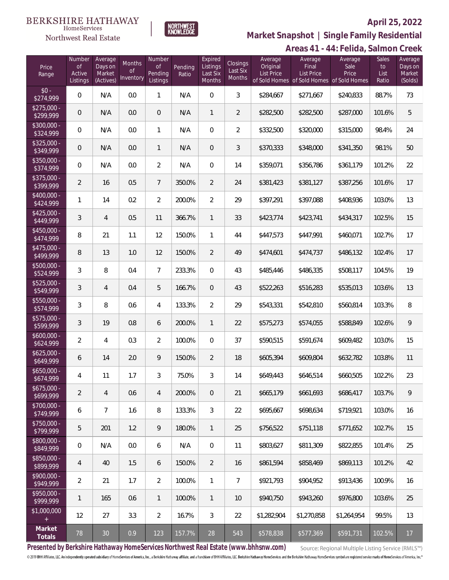#### **BERKSHIRE HATHAWAY**  $\label{lem:sevices} \textsc{Home} \textsc{Service} \textsc{s}$

Northwest Real Estate



## **April 25, 2022**

**Areas 41 - 44: Felida, Salmon Creek Market Snapshot | Single Family Residential**

|                           |                                    |                                           |                           |                                            |                  |                                           |                                       |                                          |                                                                                    | TT.I<br>VIIVA, JUITTUT   |                              |                                         |
|---------------------------|------------------------------------|-------------------------------------------|---------------------------|--------------------------------------------|------------------|-------------------------------------------|---------------------------------------|------------------------------------------|------------------------------------------------------------------------------------|--------------------------|------------------------------|-----------------------------------------|
| Price<br>Range            | Number<br>of<br>Active<br>Listings | Average<br>Days on<br>Market<br>(Actives) | Months<br>0f<br>Inventory | Number<br><b>of</b><br>Pending<br>Listings | Pending<br>Ratio | Expired<br>Listings<br>Last Six<br>Months | Closings<br>Last Six<br><b>Months</b> | Average<br>Original<br><b>List Price</b> | Average<br>Final<br><b>List Price</b><br>of Sold Homes of Sold Homes of Sold Homes | Average<br>Sale<br>Price | Sales<br>to<br>List<br>Ratio | Average<br>Days on<br>Market<br>(Solds) |
| $$0 -$<br>\$274,999       | $\overline{0}$                     | N/A                                       | 0.0                       | $\mathbf{1}$                               | N/A              | $\overline{0}$                            | 3                                     | \$284,667                                | \$271,667                                                                          | \$240,833                | 88.7%                        | 73                                      |
| $$275,000 -$<br>\$299,999 | $\boldsymbol{0}$                   | N/A                                       | 0.0                       | $\theta$                                   | N/A              | $\mathbf{1}$                              | $\overline{2}$                        | \$282,500                                | \$282,500                                                                          | \$287,000                | 101.6%                       | 5                                       |
| $$300,000 -$<br>\$324,999 | $\mathbf 0$                        | N/A                                       | 0.0                       | $\mathbf{1}$                               | N/A              | $\boldsymbol{0}$                          | $\overline{2}$                        | \$332,500                                | \$320,000                                                                          | \$315,000                | 98.4%                        | 24                                      |
| $$325,000 -$<br>\$349,999 | $\boldsymbol{0}$                   | N/A                                       | 0.0                       | $\mathbf{1}$                               | N/A              | $\mathbf 0$                               | 3                                     | \$370,333                                | \$348,000                                                                          | \$341,350                | 98.1%                        | 50                                      |
| $$350,000 -$<br>\$374,999 | $\mathbf 0$                        | N/A                                       | 0.0                       | $\overline{2}$                             | N/A              | 0                                         | 14                                    | \$359,071                                | \$356,786                                                                          | \$361,179                | 101.2%                       | 22                                      |
| $$375,000 -$<br>\$399,999 | $\overline{2}$                     | 16                                        | 0.5                       | $\overline{7}$                             | 350.0%           | $\overline{2}$                            | 24                                    | \$381,423                                | \$381,127                                                                          | \$387,256                | 101.6%                       | 17                                      |
| $$400,000 -$<br>\$424,999 | 1                                  | 14                                        | 0.2                       | $\overline{2}$                             | 200.0%           | $\overline{2}$                            | 29                                    | \$397,291                                | \$397,088                                                                          | \$408,936                | 103.0%                       | 13                                      |
| $$425,000 -$<br>\$449,999 | 3                                  | $\overline{4}$                            | 0.5                       | 11                                         | 366.7%           | $\mathbf{1}$                              | 33                                    | \$423,774                                | \$423,741                                                                          | \$434,317                | 102.5%                       | 15                                      |
| $$450,000 -$<br>\$474,999 | 8                                  | 21                                        | 1.1                       | 12                                         | 150.0%           | $\mathbf{1}$                              | 44                                    | \$447,573                                | \$447,991                                                                          | \$460,071                | 102.7%                       | 17                                      |
| $$475,000 -$<br>\$499,999 | 8                                  | 13                                        | 1.0                       | 12                                         | 150.0%           | $\overline{2}$                            | 49                                    | \$474,601                                | \$474,737                                                                          | \$486,132                | 102.4%                       | 17                                      |
| $$500,000 -$<br>\$524,999 | 3                                  | 8                                         | 0.4                       | $\overline{7}$                             | 233.3%           | $\overline{0}$                            | 43                                    | \$485,446                                | \$486,335                                                                          | \$508,117                | 104.5%                       | 19                                      |
| $$525,000 -$<br>\$549,999 | 3                                  | $\overline{4}$                            | 0.4                       | 5                                          | 166.7%           | $\overline{0}$                            | 43                                    | \$522,263                                | \$516,283                                                                          | \$535,013                | 103.6%                       | 13                                      |
| $$550,000 -$<br>\$574,999 | 3                                  | 8                                         | 0.6                       | $\overline{4}$                             | 133.3%           | $\overline{2}$                            | 29                                    | \$543,331                                | \$542,810                                                                          | \$560,814                | 103.3%                       | 8                                       |
| $$575,000 -$<br>\$599,999 | 3                                  | 19                                        | 0.8                       | 6                                          | 200.0%           | $\mathbf{1}$                              | 22                                    | \$575,273                                | \$574,055                                                                          | \$588,849                | 102.6%                       | 9                                       |
| $$600,000 -$<br>\$624,999 | $\overline{2}$                     | $\overline{4}$                            | 0.3                       | $\overline{2}$                             | 100.0%           | $\overline{0}$                            | 37                                    | \$590,515                                | \$591,674                                                                          | \$609,482                | 103.0%                       | 15                                      |
| $$625,000 -$<br>\$649,999 | 6                                  | 14                                        | 2.0                       | $\mathsf q$                                | 150.0%           | $\overline{2}$                            | 18                                    | \$605,394                                | \$609,804                                                                          | \$632,782                | 103.8%                       | 11                                      |
| $$650,000 -$<br>\$674,999 | 4                                  | 11                                        | 1.7                       | 3                                          | 75.0%            | 3                                         | 14                                    | \$649,443                                | \$646,514                                                                          | \$660,505                | 102.2%                       | 23                                      |
| $$675,000 -$<br>\$699,999 | $\overline{2}$                     | $\overline{4}$                            | 0.6                       | $\overline{4}$                             | 200.0%           | $\mathbf 0$                               | 21                                    | \$665,179                                | \$661,693                                                                          | \$686,417                | 103.7%                       | 9                                       |
| \$700,000 -<br>\$749,999  | 6                                  | $\overline{7}$                            | 1.6                       | 8                                          | 133.3%           | 3                                         | 22                                    | \$695,667                                | \$698,634                                                                          | \$719,921                | 103.0%                       | 16                                      |
| $$750,000 -$<br>\$799,999 | 5                                  | 201                                       | 1.2                       | 9                                          | 180.0%           | $\mathbf{1}$                              | 25                                    | \$756,522                                | \$751,118                                                                          | \$771,652                | 102.7%                       | 15                                      |
| \$800,000 -<br>\$849,999  | $\mathbf 0$                        | N/A                                       | 0.0                       | 6                                          | N/A              | $\mathbf 0$                               | 11                                    | \$803,627                                | \$811,309                                                                          | \$822,855                | 101.4%                       | 25                                      |
| \$850,000 -<br>\$899,999  | 4                                  | 40                                        | 1.5                       | 6                                          | 150.0%           | $\overline{2}$                            | 16                                    | \$861,594                                | \$858,469                                                                          | \$869,113                | 101.2%                       | 42                                      |
| $$900,000 -$<br>\$949,999 | $\overline{2}$                     | 21                                        | 1.7                       | $\overline{2}$                             | 100.0%           | $\mathbf{1}$                              | $\overline{7}$                        | \$921,793                                | \$904,952                                                                          | \$913,436                | 100.9%                       | 16                                      |
| \$950,000 -<br>\$999,999  | 1                                  | 165                                       | 0.6                       | $\mathbf{1}$                               | 100.0%           | $\mathbf{1}$                              | 10                                    | \$940,750                                | \$943,260                                                                          | \$976,800                | 103.6%                       | 25                                      |
| \$1,000,000<br>$\pm$      | 12                                 | 27                                        | 3.3                       | $\overline{2}$                             | 16.7%            | 3                                         | 22                                    | \$1,282,904                              | \$1,270,858                                                                        | \$1,264,954              | 99.5%                        | 13                                      |
| Market<br>Totals          | 78                                 | 30                                        | 0.9                       | 123                                        | 157.7%           | 28                                        | 543                                   | \$578,838                                | \$577,369                                                                          | \$591,731                | 102.5%                       | 17                                      |

**Presented by Berkshire Hathaway HomeServices Northwest Real Estate (www.bhhsnw.com)**

Source: Regional Multiple Listing Service (RMLS™)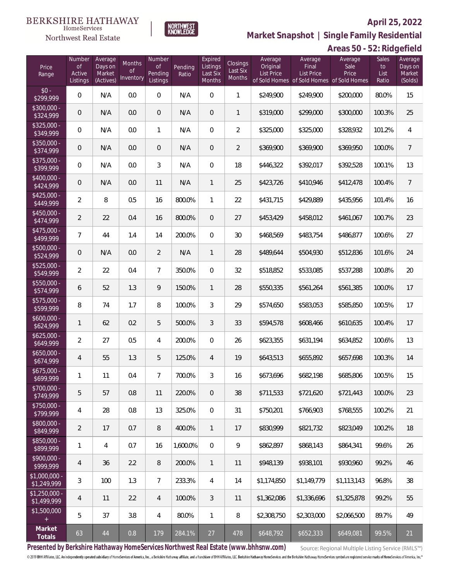

**Market Snapshot | Single Family Residential**

#### $\label{lem:sevices} \textsc{Home} \textsc{Service} \textsc{s}$ Northwest Real Estate

|                               |                                           |                                           |                           |                                     |                  |                                           |                                |                                          |                                                                                    | Areas 50 - 52: Ridgefield |                              |                                         |
|-------------------------------|-------------------------------------------|-------------------------------------------|---------------------------|-------------------------------------|------------------|-------------------------------------------|--------------------------------|------------------------------------------|------------------------------------------------------------------------------------|---------------------------|------------------------------|-----------------------------------------|
| Price<br>Range                | Number<br><b>of</b><br>Active<br>Listings | Average<br>Days on<br>Market<br>(Actives) | Months<br>0f<br>Inventory | Number<br>0f<br>Pending<br>Listings | Pending<br>Ratio | Expired<br>Listings<br>Last Six<br>Months | Closings<br>Last Six<br>Months | Average<br>Original<br><b>List Price</b> | Average<br>Final<br><b>List Price</b><br>of Sold Homes of Sold Homes of Sold Homes | Average<br>Sale<br>Price  | Sales<br>to<br>List<br>Ratio | Average<br>Days on<br>Market<br>(Solds) |
| $$0 -$<br>\$299,999           | $\mathbf 0$                               | N/A                                       | 0.0                       | $\mathbf 0$                         | N/A              | $\boldsymbol{0}$                          | $\mathbf{1}$                   | \$249,900                                | \$249,900                                                                          | \$200,000                 | 80.0%                        | 15                                      |
| \$300,000 -<br>\$324,999      | $\boldsymbol{0}$                          | N/A                                       | 0.0                       | $\mathbf 0$                         | N/A              | $\overline{0}$                            | $\mathbf{1}$                   | \$319,000                                | \$299,000                                                                          | \$300,000                 | 100.3%                       | 25                                      |
| $$325,000 -$<br>\$349,999     | 0                                         | N/A                                       | 0.0                       | $\mathbf{1}$                        | N/A              | $\overline{0}$                            | $\overline{2}$                 | \$325,000                                | \$325,000                                                                          | \$328,932                 | 101.2%                       | 4                                       |
| $$350,000 -$<br>\$374,999     | $\overline{0}$                            | N/A                                       | 0.0                       | $\mathbf 0$                         | N/A              | $\overline{0}$                            | $\overline{2}$                 | \$369,900                                | \$369,900                                                                          | \$369,950                 | 100.0%                       | $\overline{7}$                          |
| $$375,000 -$<br>\$399,999     | 0                                         | N/A                                       | 0.0                       | $\mathfrak{Z}$                      | N/A              | 0                                         | 18                             | \$446,322                                | \$392,017                                                                          | \$392,528                 | 100.1%                       | 13                                      |
| $$400,000 -$<br>\$424,999     | $\overline{0}$                            | N/A                                       | 0.0                       | 11                                  | N/A              | $\mathbf{1}$                              | 25                             | \$423,726                                | \$410,946                                                                          | \$412,478                 | 100.4%                       | $7\overline{ }$                         |
| $$425,000 -$<br>\$449,999     | $\overline{2}$                            | 8                                         | 0.5                       | 16                                  | 800.0%           | $\mathbf{1}$                              | 22                             | \$431,715                                | \$429,889                                                                          | \$435,956                 | 101.4%                       | 16                                      |
| $$450,000 -$<br>\$474,999     | $\overline{2}$                            | 22                                        | 0.4                       | 16                                  | 800.0%           | $\overline{0}$                            | 27                             | \$453,429                                | \$458,012                                                                          | \$461,067                 | 100.7%                       | 23                                      |
| $$475,000 -$<br>\$499,999     | 7                                         | 44                                        | 1.4                       | 14                                  | 200.0%           | $\mathbf{0}$                              | 30                             | \$468,569                                | \$483,754                                                                          | \$486,877                 | 100.6%                       | 27                                      |
| $$500,000 -$<br>\$524,999     | $\overline{0}$                            | N/A                                       | 0.0                       | $\overline{2}$                      | N/A              | $\mathbf{1}$                              | 28                             | \$489,644                                | \$504,930                                                                          | \$512,836                 | 101.6%                       | 24                                      |
| $$525,000 -$<br>\$549,999     | $\overline{2}$                            | 22                                        | 0.4                       | $\overline{7}$                      | 350.0%           | 0                                         | 32                             | \$518,852                                | \$533,085                                                                          | \$537,288                 | 100.8%                       | 20                                      |
| $$550,000 -$<br>\$574,999     | 6                                         | 52                                        | 1.3                       | 9                                   | 150.0%           | $\mathbf{1}$                              | 28                             | \$550,335                                | \$561,264                                                                          | \$561,385                 | 100.0%                       | 17                                      |
| $$575,000 -$<br>\$599,999     | 8                                         | 74                                        | 1.7                       | 8                                   | 100.0%           | 3                                         | 29                             | \$574,650                                | \$583,053                                                                          | \$585,850                 | 100.5%                       | 17                                      |
| $$600,000 -$<br>\$624,999     | 1                                         | 62                                        | 0.2                       | $\mathbf 5$                         | 500.0%           | 3                                         | 33                             | \$594,578                                | \$608,466                                                                          | \$610,635                 | 100.4%                       | 17                                      |
| $$625,000 -$<br>\$649,999     | $\overline{2}$                            | 27                                        | 0.5                       | $\overline{4}$                      | 200.0%           | 0                                         | 26                             | \$623,355                                | \$631,194                                                                          | \$634,852                 | 100.6%                       | 13                                      |
| $$650,000 -$<br>\$674,999     | 4                                         | 55                                        | 1.3                       | 5                                   | 125.0%           | $\overline{4}$                            | 19                             | \$643,513                                | \$655,892                                                                          | \$657,698                 | 100.3%                       | 14                                      |
| \$675,000<br>\$699,999        | 1                                         | 11                                        | 0.4                       | $\overline{7}$                      | 700.0%           | 3                                         | 16                             | \$673,696                                | \$682,198                                                                          | \$685,806                 | 100.5%                       | 15                                      |
| $$700,000 -$<br>\$749,999     | 5                                         | 57                                        | 0.8                       | 11                                  | 220.0%           | $\overline{0}$                            | 38                             | \$711,533                                | \$721,620                                                                          | \$721,443                 | 100.0%                       | 23                                      |
| $$750.000 -$<br>\$799,999     | 4                                         | 28                                        | 0.8                       | 13                                  | 325.0%           | $\mathbf{0}$                              | 31                             | \$750,201                                | \$766,903                                                                          | \$768,555                 | 100.2%                       | 21                                      |
| $$800.000 -$<br>\$849,999     | $\overline{2}$                            | 17                                        | 0.7                       | 8                                   | 400.0%           | $\mathbf{1}$                              | 17                             | \$830,999                                | \$821,732                                                                          | \$823,049                 | 100.2%                       | 18                                      |
| $$850.000 -$<br>\$899,999     | 1                                         | 4                                         | 0.7                       | 16                                  | 1,600.0%         | $\mathbf{0}$                              | 9                              | \$862,897                                | \$868,143                                                                          | \$864,341                 | 99.6%                        | 26                                      |
| $$900.000 -$<br>\$999,999     | 4                                         | 36                                        | 2.2                       | 8                                   | 200.0%           | $\mathbf{1}$                              | 11                             | \$948,139                                | \$938,101                                                                          | \$930,960                 | 99.2%                        | 46                                      |
| $$1,000,000 -$<br>\$1,249,999 | 3                                         | 100                                       | 1.3                       | $\overline{7}$                      | 233.3%           | 4                                         | 14                             | \$1,174,850                              | \$1,149,779                                                                        | \$1,113,143               | 96.8%                        | 38                                      |
| $$1,250,000 -$<br>\$1,499,999 | 4                                         | 11                                        | 2.2                       | $\overline{4}$                      | 100.0%           | 3                                         | 11                             | \$1,362,086                              | \$1,336,696                                                                        | \$1,325,878               | 99.2%                        | 55                                      |
| \$1,500,000                   | 5                                         | 37                                        | 3.8                       | $\overline{4}$                      | 80.0%            | $\mathbf{1}$                              | 8                              | \$2,308,750                              | \$2,303,000                                                                        | \$2,066,500               | 89.7%                        | 49                                      |
| Market<br>Totals              | 63                                        | 44                                        | $0.8\,$                   | 179                                 | 284.1%           | 27                                        | 478                            | \$648,792                                | \$652,333                                                                          | \$649,081                 | 99.5%                        | 21                                      |

**Presented by Berkshire Hathaway HomeServices Northwest Real Estate (www.bhhsnw.com)**

Source: Regional Multiple Listing Service (RMLS™)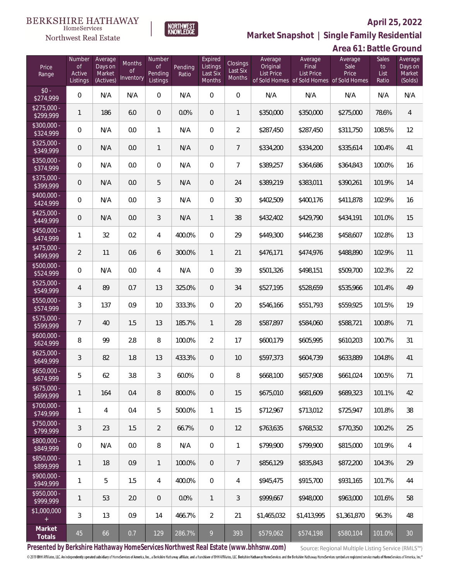

**Market Snapshot | Single Family Residential**

#### $\label{lem:sevices} \textsc{Home} \textsc{Service} \textsc{s}$ Northwest Real Estate

|                           |                                           |                                           |                                  |                                     |                  |                                           |                                       |                                          |                                                                             | Area 61: Battle Ground   |                              |                                         |
|---------------------------|-------------------------------------------|-------------------------------------------|----------------------------------|-------------------------------------|------------------|-------------------------------------------|---------------------------------------|------------------------------------------|-----------------------------------------------------------------------------|--------------------------|------------------------------|-----------------------------------------|
| Price<br>Range            | Number<br><b>of</b><br>Active<br>Listings | Average<br>Days on<br>Market<br>(Actives) | Months<br><b>of</b><br>Inventory | Number<br>of<br>Pending<br>Listings | Pending<br>Ratio | Expired<br>Listings<br>Last Six<br>Months | Closings<br>Last Six<br><b>Months</b> | Average<br>Original<br><b>List Price</b> | Average<br>Final<br>List Price<br>of Sold Homes of Sold Homes of Sold Homes | Average<br>Sale<br>Price | Sales<br>to<br>List<br>Ratio | Average<br>Days on<br>Market<br>(Solds) |
| $$0 -$<br>\$274,999       | $\overline{0}$                            | N/A                                       | N/A                              | 0                                   | N/A              | 0                                         | $\mathbf 0$                           | N/A                                      | N/A                                                                         | N/A                      | N/A                          | N/A                                     |
| $$275,000 -$<br>\$299,999 | 1                                         | 186                                       | 6.0                              | $\boldsymbol{0}$                    | 0.0%             | $\overline{0}$                            | $\mathbf{1}$                          | \$350,000                                | \$350,000                                                                   | \$275,000                | 78.6%                        | $\overline{4}$                          |
| $$300,000 -$<br>\$324,999 | 0                                         | N/A                                       | 0.0                              | $\mathbf{1}$                        | N/A              | $\overline{0}$                            | $\overline{2}$                        | \$287,450                                | \$287,450                                                                   | \$311,750                | 108.5%                       | 12                                      |
| $$325,000 -$<br>\$349,999 | $\mathsf{O}\xspace$                       | N/A                                       | 0.0                              | $\mathbf{1}$                        | N/A              | $\overline{0}$                            | $\overline{7}$                        | \$334,200                                | \$334,200                                                                   | \$335,614                | 100.4%                       | 41                                      |
| $$350,000 -$<br>\$374,999 | $\overline{0}$                            | N/A                                       | 0.0                              | 0                                   | N/A              | $\overline{0}$                            | $\overline{7}$                        | \$389,257                                | \$364,686                                                                   | \$364,843                | 100.0%                       | 16                                      |
| $$375,000 -$<br>\$399,999 | $\overline{0}$                            | N/A                                       | 0.0                              | 5                                   | N/A              | $\overline{0}$                            | 24                                    | \$389,219                                | \$383,011                                                                   | \$390,261                | 101.9%                       | 14                                      |
| \$400,000 -<br>\$424,999  | $\overline{0}$                            | N/A                                       | 0.0                              | 3                                   | N/A              | $\overline{0}$                            | 30                                    | \$402,509                                | \$400,176                                                                   | \$411,878                | 102.9%                       | 16                                      |
| $$425,000 -$<br>\$449,999 | $\overline{0}$                            | N/A                                       | 0.0                              | 3                                   | N/A              | 1                                         | 38                                    | \$432,402                                | \$429,790                                                                   | \$434,191                | 101.0%                       | 15                                      |
| \$450,000 -<br>\$474,999  | 1                                         | 32                                        | 0.2                              | 4                                   | 400.0%           | 0                                         | 29                                    | \$449,300                                | \$446,238                                                                   | \$458,607                | 102.8%                       | 13                                      |
| \$475,000 -<br>\$499,999  | $\overline{2}$                            | 11                                        | 0.6                              | 6                                   | 300.0%           | $\mathbf{1}$                              | 21                                    | \$476,171                                | \$474,976                                                                   | \$488,890                | 102.9%                       | 11                                      |
| $$500,000 -$<br>\$524,999 | $\mathbf 0$                               | N/A                                       | $0.0\,$                          | 4                                   | N/A              | $\overline{0}$                            | 39                                    | \$501,326                                | \$498,151                                                                   | \$509,700                | 102.3%                       | 22                                      |
| \$525,000 -<br>\$549,999  | $\overline{4}$                            | 89                                        | 0.7                              | 13                                  | 325.0%           | $\overline{0}$                            | 34                                    | \$527,195                                | \$528,659                                                                   | \$535,966                | 101.4%                       | 49                                      |
| \$550,000 -<br>\$574,999  | 3                                         | 137                                       | 0.9                              | 10                                  | 333.3%           | $\overline{0}$                            | 20                                    | \$546,166                                | \$551,793                                                                   | \$559,925                | 101.5%                       | 19                                      |
| \$575,000 -<br>\$599,999  | 7                                         | 40                                        | 1.5                              | 13                                  | 185.7%           | 1                                         | 28                                    | \$587,897                                | \$584,060                                                                   | \$588,721                | 100.8%                       | 71                                      |
| $$600,000 -$<br>\$624,999 | 8                                         | 99                                        | 2.8                              | 8                                   | 100.0%           | $\overline{2}$                            | 17                                    | \$600,179                                | \$605,995                                                                   | \$610,203                | 100.7%                       | 31                                      |
| $$625,000 -$<br>\$649,999 | $\mathfrak{Z}$                            | 82                                        | 1.8                              | 13                                  | 433.3%           | 0                                         | 10                                    | \$597,373                                | \$604,739                                                                   | \$633,889                | 104.8%                       | 41                                      |
| $$650.000 -$<br>\$674,999 | 5                                         | 62                                        | 3.8                              | 3                                   | 60.0%            | 0                                         | 8                                     | \$668,100                                | \$657,908                                                                   | \$661,024                | 100.5%                       | 71                                      |
| $$675,000 -$<br>\$699,999 | 1                                         | 164                                       | 0.4                              | 8                                   | 800.0%           | $\overline{0}$                            | 15                                    | \$675,010                                | \$681,609                                                                   | \$689,323                | 101.1%                       | 42                                      |
| \$700,000 -<br>\$749,999  | 1                                         | 4                                         | 0.4                              | 5                                   | 500.0%           | 1                                         | 15                                    | \$712,967                                | \$713,012                                                                   | \$725,947                | 101.8%                       | 38                                      |
| \$750,000 -<br>\$799,999  | 3                                         | 23                                        | 1.5                              | $\overline{2}$                      | 66.7%            | $\overline{0}$                            | 12                                    | \$763,635                                | \$768,532                                                                   | \$770,350                | 100.2%                       | 25                                      |
| \$800,000 -<br>\$849,999  | $\overline{0}$                            | N/A                                       | 0.0                              | 8                                   | N/A              | $\boldsymbol{0}$                          | 1                                     | \$799,900                                | \$799,900                                                                   | \$815,000                | 101.9%                       | 4                                       |
| \$850,000 -<br>\$899,999  | 1                                         | 18                                        | 0.9                              | $\mathbf{1}$                        | 100.0%           | $\overline{0}$                            | $\overline{7}$                        | \$856,129                                | \$835,843                                                                   | \$872,200                | 104.3%                       | 29                                      |
| \$900,000 -<br>\$949,999  | 1                                         | 5                                         | 1.5                              | 4                                   | 400.0%           | $\mathbf{0}$                              | 4                                     | \$945,475                                | \$915,700                                                                   | \$931,165                | 101.7%                       | 44                                      |
| \$950,000 -<br>\$999,999  | 1                                         | 53                                        | 2.0                              | $\theta$                            | 0.0%             | $\mathbf{1}$                              | 3                                     | \$999,667                                | \$948,000                                                                   | \$963,000                | 101.6%                       | 58                                      |
| \$1,000,000<br>$+$        | 3                                         | 13                                        | 0.9                              | 14                                  | 466.7%           | 2                                         | 21                                    | \$1,465,032                              | \$1,413,995                                                                 | \$1,361,870              | 96.3%                        | 48                                      |
| Market<br>Totals          | 45                                        | 66                                        | 0.7                              | 129                                 | 286.7%           | 9                                         | 393                                   | \$579,062                                | \$574,198                                                                   | \$580,104                | 101.0%                       | 30                                      |

**Presented by Berkshire Hathaway HomeServices Northwest Real Estate (www.bhhsnw.com)**

Source: Regional Multiple Listing Service (RMLS™)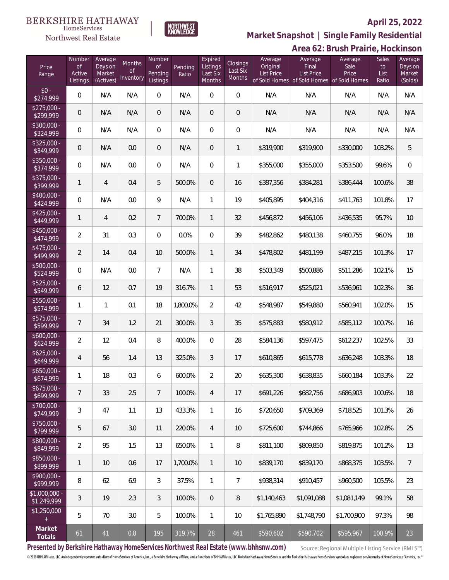#### **BERKSHIRE HATHAWAY**  $\label{lem:sevices} \textsc{Home} \textsc{Service} \textsc{s}$

Northwest Real Estate



## **April 25, 2022**

**Market Snapshot | Single Family Residential**

|                               |                                           |                                           |                                  |                                            |                  |                                           |                                |                                          |                                                                                    | Area 62: Brush Prairie, Hockinson |                                     |                                         |
|-------------------------------|-------------------------------------------|-------------------------------------------|----------------------------------|--------------------------------------------|------------------|-------------------------------------------|--------------------------------|------------------------------------------|------------------------------------------------------------------------------------|-----------------------------------|-------------------------------------|-----------------------------------------|
| Price<br>Range                | Number<br><b>of</b><br>Active<br>Listings | Average<br>Days on<br>Market<br>(Actives) | Months<br><b>of</b><br>Inventory | Number<br><b>of</b><br>Pending<br>Listings | Pending<br>Ratio | Expired<br>Listings<br>Last Six<br>Months | Closings<br>Last Six<br>Months | Average<br>Original<br><b>List Price</b> | Average<br>Final<br><b>List Price</b><br>of Sold Homes of Sold Homes of Sold Homes | Average<br>Sale<br>Price          | <b>Sales</b><br>to<br>List<br>Ratio | Average<br>Days on<br>Market<br>(Solds) |
| $$0 -$<br>\$274,999           | $\mathbf 0$                               | N/A                                       | N/A                              | $\boldsymbol{0}$                           | N/A              | $\mathbf 0$                               | $\mathbf 0$                    | N/A                                      | N/A                                                                                | N/A                               | N/A                                 | N/A                                     |
| $$275,000 -$<br>\$299,999     | $\mathbf 0$                               | N/A                                       | N/A                              | $\mathbf 0$                                | N/A              | $\mathbf 0$                               | $\mathbf 0$                    | N/A                                      | N/A                                                                                | N/A                               | N/A                                 | N/A                                     |
| $$300,000 -$<br>\$324,999     | $\mathbf 0$                               | N/A                                       | N/A                              | $\boldsymbol{0}$                           | N/A              | 0                                         | $\mathbf 0$                    | N/A                                      | N/A                                                                                | N/A                               | N/A                                 | N/A                                     |
| $$325,000 -$<br>\$349,999     | $\mathbf 0$                               | N/A                                       | 0.0                              | $\mathbf 0$                                | N/A              | $\mathbf 0$                               | $\mathbf{1}$                   | \$319,900                                | \$319,900                                                                          | \$330,000                         | 103.2%                              | 5                                       |
| $$350,000 -$<br>\$374,999     | $\mathbf 0$                               | N/A                                       | 0.0                              | $\,0\,$                                    | N/A              | $\mathbf 0$                               | $\mathbf{1}$                   | \$355,000                                | \$355,000                                                                          | \$353,500                         | 99.6%                               | $\,0\,$                                 |
| $$375,000 -$<br>\$399,999     | $\mathbf{1}$                              | $\overline{4}$                            | 0.4                              | 5                                          | 500.0%           | $\mathbf 0$                               | 16                             | \$387,356                                | \$384,281                                                                          | \$386,444                         | 100.6%                              | 38                                      |
| $$400,000 -$<br>\$424,999     | $\mathbf 0$                               | N/A                                       | 0.0                              | 9                                          | N/A              | $\mathbf{1}$                              | 19                             | \$405,895                                | \$404,316                                                                          | \$411,763                         | 101.8%                              | 17                                      |
| $$425,000 -$<br>\$449,999     | $\mathbf{1}$                              | $\overline{4}$                            | 0.2                              | $\overline{7}$                             | 700.0%           | $\mathbf{1}$                              | 32                             | \$456,872                                | \$456,106                                                                          | \$436,535                         | 95.7%                               | 10                                      |
| $$450,000 -$<br>\$474,999     | $\overline{2}$                            | 31                                        | 0.3                              | $\mathbf 0$                                | 0.0%             | $\mathbf 0$                               | 39                             | \$482,862                                | \$480,138                                                                          | \$460,755                         | 96.0%                               | 18                                      |
| $$475,000 -$<br>\$499,999     | $\overline{2}$                            | 14                                        | 0.4                              | 10                                         | 500.0%           | $\mathbf{1}$                              | 34                             | \$478,802                                | \$481,199                                                                          | \$487,215                         | 101.3%                              | 17                                      |
| $$500,000 -$<br>\$524,999     | $\mathbf 0$                               | N/A                                       | 0.0                              | $\overline{7}$                             | N/A              | $\mathbf{1}$                              | 38                             | \$503,349                                | \$500,886                                                                          | \$511,286                         | 102.1%                              | 15                                      |
| $$525,000 -$<br>\$549,999     | 6                                         | 12                                        | 0.7                              | 19                                         | 316.7%           | $\mathbf{1}$                              | 53                             | \$516,917                                | \$525,021                                                                          | \$536,961                         | 102.3%                              | 36                                      |
| $$550,000 -$<br>\$574,999     | $\mathbf{1}$                              | $\mathbf{1}$                              | 0.1                              | 18                                         | 1,800.0%         | $\overline{2}$                            | 42                             | \$548,987                                | \$549,880                                                                          | \$560,941                         | 102.0%                              | 15                                      |
| $$575,000 -$<br>\$599,999     | $\overline{7}$                            | 34                                        | 1.2                              | 21                                         | 300.0%           | $\mathfrak{Z}$                            | 35                             | \$575,883                                | \$580,912                                                                          | \$585,112                         | 100.7%                              | 16                                      |
| $$600,000 -$<br>\$624,999     | $\overline{2}$                            | 12                                        | 0.4                              | $\, 8$                                     | 400.0%           | $\mathbf 0$                               | 28                             | \$584,136                                | \$597,475                                                                          | \$612,237                         | 102.5%                              | 33                                      |
| $$625,000 -$<br>\$649,999     | 4                                         | 56                                        | 1.4                              | 13                                         | 325.0%           | 3                                         | 17                             | \$610,865                                | \$615,778                                                                          | \$636,248                         | 103.3%                              | 18                                      |
| $$650,000 -$<br>\$674,999     | $\mathbf{1}$                              | 18                                        | 0.3                              | 6                                          | 600.0%           | $\overline{2}$                            | 20                             | \$635,300                                | \$638,835                                                                          | \$660,184                         | 103.3%                              | 22                                      |
| $$675,000 -$<br>\$699,999     | $7\phantom{.}$                            | 33                                        | 2.5                              | $7\phantom{.}$                             | 100.0%           | $\overline{4}$                            | 17                             | \$691,226                                | \$682,756                                                                          | \$686,903                         | 100.6%                              | 18                                      |
| $$700,000 -$<br>\$749,999     | $\mathfrak{Z}$                            | 47                                        | 1.1                              | 13                                         | 433.3%           | $\mathbf{1}$                              | 16                             | \$720,650                                | \$709,369                                                                          | \$718,525                         | 101.3%                              | 26                                      |
| \$750,000 -<br>\$799,999      | 5                                         | 67                                        | 3.0                              | 11                                         | 220.0%           | $\overline{4}$                            | $10$                           | \$725,600                                | \$744,866                                                                          | \$765,966                         | 102.8%                              | 25                                      |
| $$800,000 -$<br>\$849,999     | $\overline{2}$                            | 95                                        | 1.5                              | 13                                         | 650.0%           | $\mathbf{1}$                              | 8                              | \$811,100                                | \$809,850                                                                          | \$819,875                         | 101.2%                              | 13                                      |
| $$850,000 -$<br>\$899,999     | $\mathbf{1}$                              | 10                                        | 0.6                              | 17                                         | 1,700.0%         | $\mathbf{1}$                              | $10$                           | \$839,170                                | \$839,170                                                                          | \$868,375                         | 103.5%                              | $7\overline{ }$                         |
| $$900,000 -$<br>\$999,999     | 8                                         | 62                                        | 6.9                              | $\mathfrak{Z}$                             | 37.5%            | $\mathbf{1}$                              | $\overline{7}$                 | \$938,314                                | \$910,457                                                                          | \$960,500                         | 105.5%                              | 23                                      |
| $$1,000,000 -$<br>\$1,249,999 | $\mathfrak{Z}$                            | 19                                        | 2.3                              | $\mathfrak{Z}$                             | 100.0%           | $\mathbf 0$                               | 8                              | \$1,140,463                              | \$1,091,088                                                                        | \$1,081,149                       | 99.1%                               | 58                                      |
| \$1,250,000<br>$^{+}$         | 5                                         | 70                                        | 3.0                              | 5                                          | 100.0%           | $\mathbf{1}$                              | 10                             | \$1,765,890                              | \$1,748,790                                                                        | \$1,700,900                       | 97.3%                               | 98                                      |
| Market<br>Totals              | 61                                        | 41                                        | 0.8                              | 195                                        | 319.7%           | 28                                        | 461                            | \$590,602                                | \$590,702                                                                          | \$595,967                         | 100.9%                              | 23                                      |

**Presented by Berkshire Hathaway HomeServices Northwest Real Estate (www.bhhsnw.com)**

Source: Regional Multiple Listing Service (RMLS™)